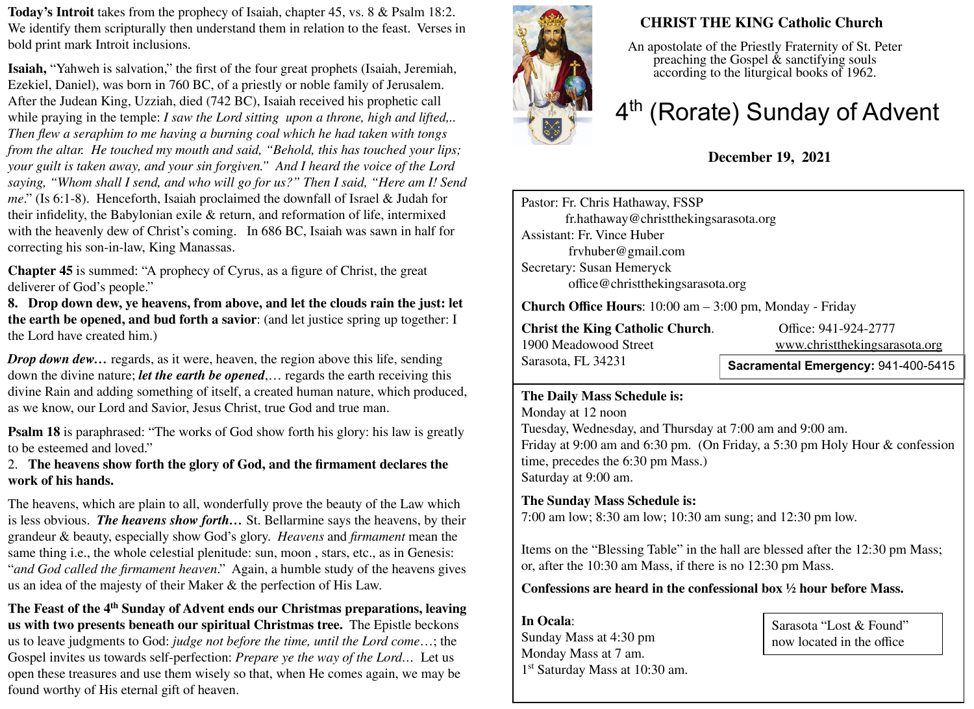**Today's Introit** takes from the prophecy of Isaiah, chapter 45, vs. 8 & Psalm 18:2. We identify them scripturally then understand them in relation to the feast. Verses in bold print mark Introit inclusions.

**Isaiah,** "Yahweh is salvation," the first of the four great prophets (Isaiah, Jeremiah, Ezekiel, Daniel), was born in 760 BC, of a priestly or noble family of Jerusalem. After the Judean King, Uzziah, died (742 BC), Isaiah received his prophetic call while praying in the temple: *I saw the Lord sitting upon a throne, high and lifted,.. Then flew a seraphim to me having a burning coal which he had taken with tongs from the altar. He touched my mouth and said, "Behold, this has touched your lips; your guilt is taken away, and your sin forgiven." And I heard the voice of the Lord saying, "Whom shall I send, and who will go for us?" Then I said, "Here am I! Send me*." (Is 6:1-8). Henceforth, Isaiah proclaimed the downfall of Israel & Judah for their infidelity, the Babylonian exile & return, and reformation of life, intermixed with the heavenly dew of Christ's coming. In 686 BC, Isaiah was sawn in half for correcting his son-in-law, King Manassas.

**Chapter 45** is summed: "A prophecy of Cyrus, as a figure of Christ, the great deliverer of God's people."

**8. Drop down dew, ye heavens, from above, and let the clouds rain the just: let the earth be opened, and bud forth a savior**: (and let justice spring up together: I the Lord have created him.)

*Drop down dew...* regards, as it were, heaven, the region above this life, sending down the divine nature; *let the earth be opened*,… regards the earth receiving this divine Rain and adding something of itself, a created human nature, which produced, as we know, our Lord and Savior, Jesus Christ, true God and true man.

**Psalm 18** is paraphrased: "The works of God show forth his glory: his law is greatly to be esteemed and loved."

2. **The heavens show forth the glory of God, and the firmament declares the work of his hands.** 

The heavens, which are plain to all, wonderfully prove the beauty of the Law which is less obvious. *The heavens show forth…* St. Bellarmine says the heavens, by their grandeur & beauty, especially show God's glory. *Heavens* and *firmament* mean the same thing i.e., the whole celestial plenitude: sun, moon , stars, etc., as in Genesis: "*and God called the firmament heaven*." Again, a humble study of the heavens gives us an idea of the majesty of their Maker & the perfection of His Law.

The Feast of the 4<sup>th</sup> Sunday of Advent ends our Christmas preparations, leaving **us with two presents beneath our spiritual Christmas tree.** The Epistle beckons us to leave judgments to God: *judge not before the time, until the Lord come*…; the Gospel invites us towards self-perfection: *Prepare ye the way of the Lord…* Let us open these treasures and use them wisely so that, when He comes again, we may be found worthy of His eternal gift of heaven.



# **CHRIST THE KING Catholic Church**

An apostolate of the Priestly Fraternity of St. Peter preaching the Gospel & sanctifying souls according to the liturgical books of 1962.

# 4<sup>th</sup> (Rorate) Sunday of Advent

# **December 19, 2021**

Pastor: Fr. Chris Hathaway, FSSP fr.hathaway@christthekingsarasota.org Assistant: Fr. Vince Huber frvhuber@gmail.com Secretary: Susan Hemeryck office@christthekingsarasota.org

**Church Office Hours**: 10:00 am – 3:00 pm, Monday - Friday

**Christ the King Catholic Church.** Office: 941-924-2777<br>1900 Meadowood Street www.christthekingsara Sarasota, FL 34231

[www.christthekingsarasota.org](http://www.christthekingsarasota.org/)

**Sacramental Emergency:** 941-400-5415

#### **The Daily Mass Schedule is:**

Monday at 12 noon Tuesday, Wednesday, and Thursday at 7:00 am and 9:00 am. Friday at 9:00 am and 6:30 pm. (On Friday, a 5:30 pm Holy Hour & confession time, precedes the 6:30 pm Mass.) Saturday at 9:00 am.

### **The Sunday Mass Schedule is:**

7:00 am low; 8:30 am low; 10:30 am sung; and 12:30 pm low.

Items on the "Blessing Table" in the hall are blessed after the 12:30 pm Mass; or, after the 10:30 am Mass, if there is no 12:30 pm Mass.

## **Confessions are heard in the confessional box ½ hour before Mass.**

**In Ocala**: Sunday Mass at 4:30 pm Monday Mass at 7 am. 1 st Saturday Mass at 10:30 am.

Sarasota "Lost & Found" now located in the office